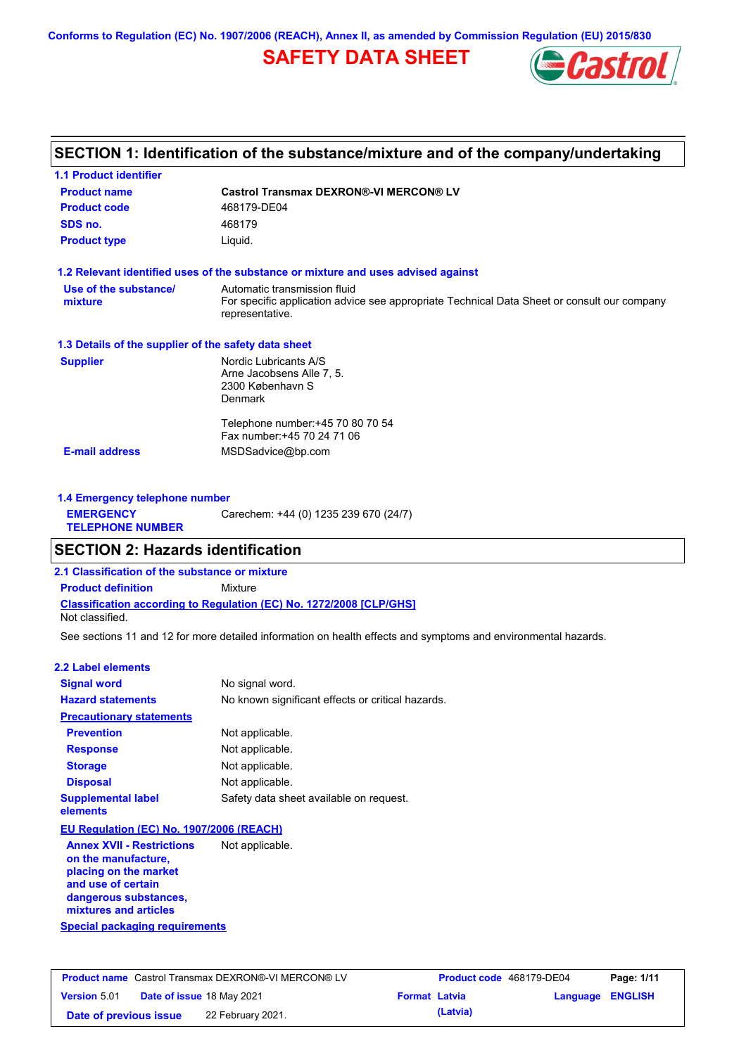**Conforms to Regulation (EC) No. 1907/2006 (REACH), Annex II, as amended by Commission Regulation (EU) 2015/830**

# **SAFETY DATA SHEET**



## **SECTION 1: Identification of the substance/mixture and of the company/undertaking**

| <b>Product name</b>                                  | <b>Castrol Transmax DEXRON®-VI MERCON® LV</b>                                                                                                  |
|------------------------------------------------------|------------------------------------------------------------------------------------------------------------------------------------------------|
| <b>Product code</b>                                  | 468179-DE04                                                                                                                                    |
| SDS no.                                              | 468179                                                                                                                                         |
| <b>Product type</b>                                  | Liquid.                                                                                                                                        |
|                                                      | 1.2 Relevant identified uses of the substance or mixture and uses advised against                                                              |
| Use of the substance/<br>mixture                     | Automatic transmission fluid<br>For specific application advice see appropriate Technical Data Sheet or consult our company<br>representative. |
| 1.3 Details of the supplier of the safety data sheet |                                                                                                                                                |
| <b>Supplier</b>                                      | Nordic Lubricants A/S<br>Arne Jacobsens Alle 7, 5.<br>2300 København S<br><b>Denmark</b>                                                       |
|                                                      | Telephone number: +45 70 80 70 54<br>Fax number: +45 70 24 71 06                                                                               |
| <b>E-mail address</b>                                | MSDSadvice@bp.com                                                                                                                              |

| 1.4 Emergency telephone number              |                                       |  |
|---------------------------------------------|---------------------------------------|--|
| <b>EMERGENCY</b><br><b>TELEPHONE NUMBER</b> | Carechem: +44 (0) 1235 239 670 (24/7) |  |

## **SECTION 2: Hazards identification**

**2.1 Classification of the substance or mixture**

**Classification according to Regulation (EC) No. 1272/2008 [CLP/GHS] Product definition** Mixture

Not classified.

See sections 11 and 12 for more detailed information on health effects and symptoms and environmental hazards.

### **2.2 Label elements**

| <b>Signal word</b>                                                                 | No signal word.                                   |
|------------------------------------------------------------------------------------|---------------------------------------------------|
| <b>Hazard statements</b>                                                           | No known significant effects or critical hazards. |
| <b>Precautionary statements</b>                                                    |                                                   |
| <b>Prevention</b>                                                                  | Not applicable.                                   |
| <b>Response</b>                                                                    | Not applicable.                                   |
| <b>Storage</b>                                                                     | Not applicable.                                   |
| <b>Disposal</b>                                                                    | Not applicable.                                   |
| <b>Supplemental label</b><br>elements                                              | Safety data sheet available on request.           |
| EU Regulation (EC) No. 1907/2006 (REACH)                                           |                                                   |
| <b>Annex XVII - Restrictions</b><br>on the manufacture,<br>alaataa ay dha goodadah | Not applicable.                                   |

**Special packaging requirements placing on the market and use of certain dangerous substances, mixtures and articles**

|                        | <b>Product name</b> Castrol Transmax DEXRON®-VI MERCON® LV |                      | Product code 468179-DE04 |                         | Page: 1/11 |
|------------------------|------------------------------------------------------------|----------------------|--------------------------|-------------------------|------------|
| <b>Version 5.01</b>    | <b>Date of issue 18 May 2021</b>                           | <b>Format Latvia</b> |                          | <b>Language ENGLISH</b> |            |
| Date of previous issue | 22 February 2021.                                          |                      | (Latvia)                 |                         |            |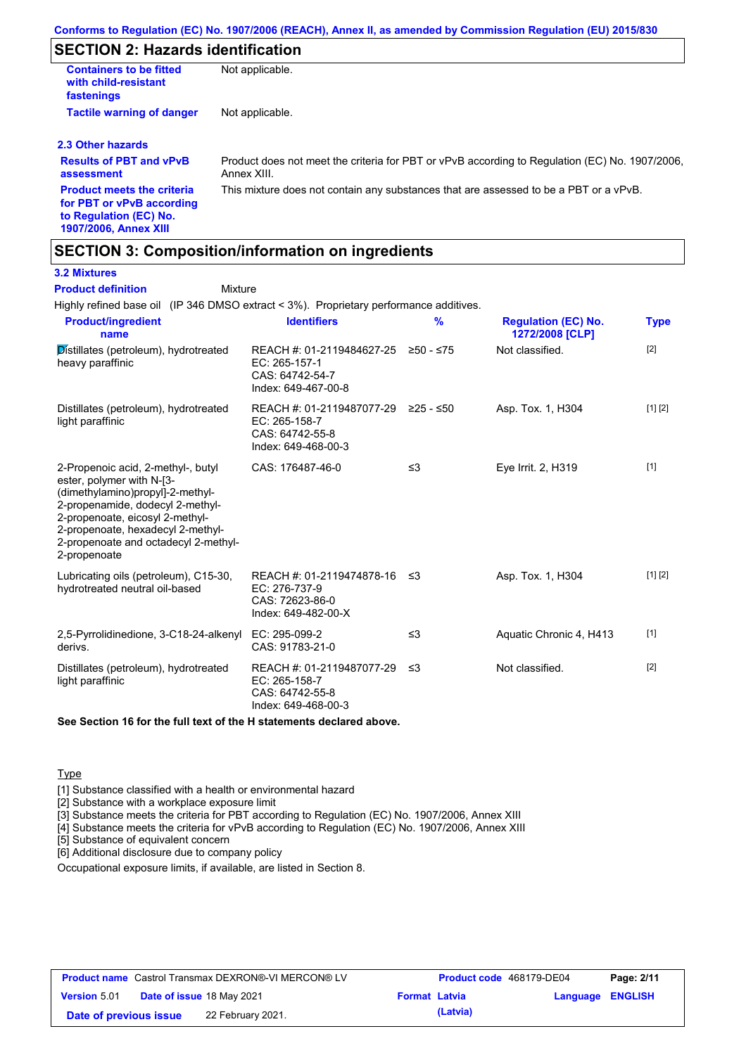## **SECTION 2: Hazards identification**

| <b>Containers to be fitted</b><br>with child-resistant<br>fastenings | Not applicable.                                                                                               |
|----------------------------------------------------------------------|---------------------------------------------------------------------------------------------------------------|
| <b>Tactile warning of danger</b>                                     | Not applicable.                                                                                               |
| 2.3 Other hazards                                                    |                                                                                                               |
| <b>Results of PBT and vPvB</b><br>assessment                         | Product does not meet the criteria for PBT or vPvB according to Regulation (EC) No. 1907/2006.<br>Annex XIII. |
| <b>Product meets the criteria</b>                                    | This mixture does not contain any substances that are assessed to be a PBT or a vPvB.                         |

**for PBT or vPvB according to Regulation (EC) No. 1907/2006, Annex XIII**

### **SECTION 3: Composition/information on ingredients**

**Mixture** 

### **3.2 Mixtures**

**Product definition**

Highly refined base oil (IP 346 DMSO extract < 3%). Proprietary performance additives.

| <b>Identifiers</b>                                                                   | $\frac{9}{6}$                          | <b>Regulation (EC) No.</b><br>1272/2008 [CLP]                                                       | <b>Type</b> |
|--------------------------------------------------------------------------------------|----------------------------------------|-----------------------------------------------------------------------------------------------------|-------------|
| EC: 265-157-1<br>CAS: 64742-54-7<br>Index: 649-467-00-8                              |                                        | Not classified.                                                                                     | $[2]$       |
| REACH #: 01-2119487077-29<br>EC: 265-158-7<br>CAS: 64742-55-8<br>Index: 649-468-00-3 | ≥25 - ≤50                              | Asp. Tox. 1, H304                                                                                   | [1] [2]     |
| CAS: 176487-46-0                                                                     | $\leq$ 3                               | Eye Irrit. 2, H319                                                                                  | $[1]$       |
| EC: 276-737-9<br>CAS: 72623-86-0<br>Index: 649-482-00-X                              |                                        | Asp. Tox. 1, H304                                                                                   | [1] [2]     |
| EC: 295-099-2<br>CAS: 91783-21-0                                                     | ≤3                                     | Aquatic Chronic 4, H413                                                                             | $[1]$       |
| EC: 265-158-7<br>CAS: 64742-55-8<br>Index: 649-468-00-3                              |                                        | Not classified.                                                                                     | $[2]$       |
|                                                                                      | 2,5-Pyrrolidinedione, 3-C18-24-alkenyl | REACH #: 01-2119484627-25 ≥50 - ≤75<br>REACH #: 01-2119474878-16 ≤3<br>REACH #: 01-2119487077-29 ≤3 |             |

**See Section 16 for the full text of the H statements declared above.**

### **Type**

[1] Substance classified with a health or environmental hazard

[2] Substance with a workplace exposure limit

[3] Substance meets the criteria for PBT according to Regulation (EC) No. 1907/2006, Annex XIII

[4] Substance meets the criteria for vPvB according to Regulation (EC) No. 1907/2006, Annex XIII

[5] Substance of equivalent concern

[6] Additional disclosure due to company policy

Occupational exposure limits, if available, are listed in Section 8.

|                        | <b>Product name</b> Castrol Transmax DEXRON®-VI MERCON® LV |                      | <b>Product code</b> 468179-DE04 |                         | Page: 2/11 |
|------------------------|------------------------------------------------------------|----------------------|---------------------------------|-------------------------|------------|
| <b>Version</b> 5.01    | Date of issue 18 May 2021                                  | <b>Format Latvia</b> |                                 | <b>Language ENGLISH</b> |            |
| Date of previous issue | 22 February 2021.                                          |                      | (Latvia)                        |                         |            |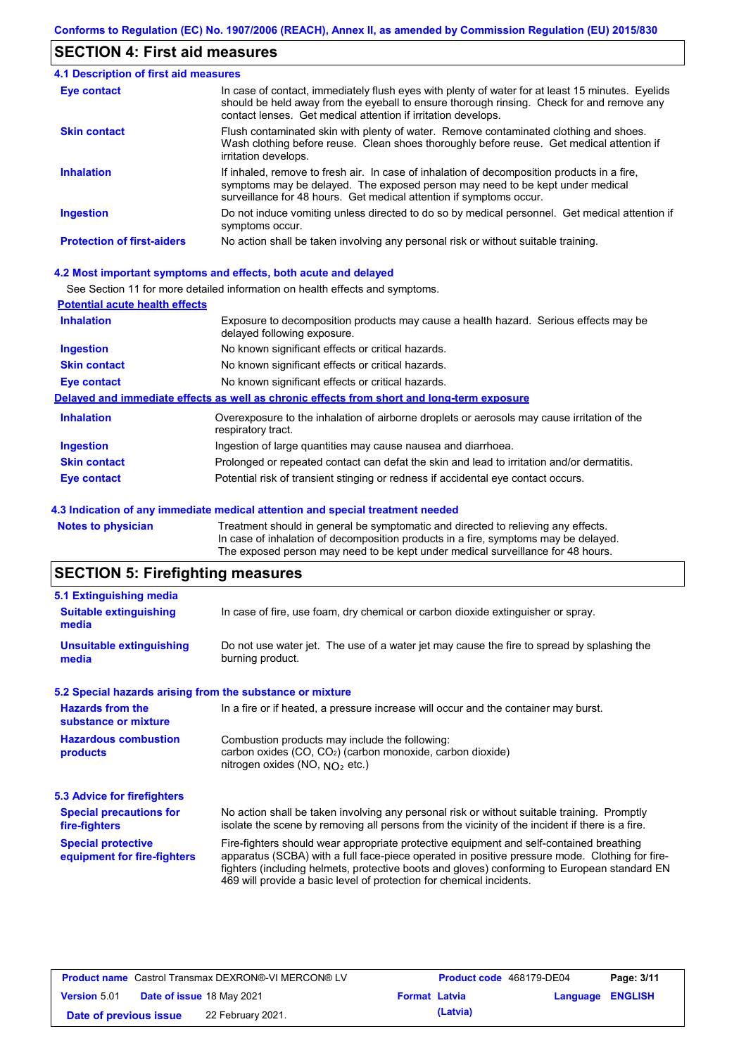## **SECTION 4: First aid measures**

| <b>4.1 Description of first aid measures</b> |                                                                                                                                                                                                                                                                |
|----------------------------------------------|----------------------------------------------------------------------------------------------------------------------------------------------------------------------------------------------------------------------------------------------------------------|
| <b>Eye contact</b>                           | In case of contact, immediately flush eyes with plenty of water for at least 15 minutes. Eyelids<br>should be held away from the eyeball to ensure thorough rinsing. Check for and remove any<br>contact lenses. Get medical attention if irritation develops. |
| <b>Skin contact</b>                          | Flush contaminated skin with plenty of water. Remove contaminated clothing and shoes.<br>Wash clothing before reuse. Clean shoes thoroughly before reuse. Get medical attention if<br>irritation develops.                                                     |
| <b>Inhalation</b>                            | If inhaled, remove to fresh air. In case of inhalation of decomposition products in a fire,<br>symptoms may be delayed. The exposed person may need to be kept under medical<br>surveillance for 48 hours. Get medical attention if symptoms occur.            |
| <b>Ingestion</b>                             | Do not induce vomiting unless directed to do so by medical personnel. Get medical attention if<br>symptoms occur.                                                                                                                                              |
| <b>Protection of first-aiders</b>            | No action shall be taken involving any personal risk or without suitable training.                                                                                                                                                                             |

### **4.2 Most important symptoms and effects, both acute and delayed**

See Section 11 for more detailed information on health effects and symptoms.

| <b>Potential acute health effects</b> |                                                                                                                     |
|---------------------------------------|---------------------------------------------------------------------------------------------------------------------|
| <b>Inhalation</b>                     | Exposure to decomposition products may cause a health hazard. Serious effects may be<br>delayed following exposure. |
| <b>Ingestion</b>                      | No known significant effects or critical hazards.                                                                   |
| <b>Skin contact</b>                   | No known significant effects or critical hazards.                                                                   |
| Eye contact                           | No known significant effects or critical hazards.                                                                   |
|                                       | Delayed and immediate effects as well as chronic effects from short and long-term exposure                          |
| <b>Inhalation</b>                     | Overexposure to the inhalation of airborne droplets or aerosols may cause irritation of the<br>respiratory tract.   |
| <b>Ingestion</b>                      | Ingestion of large quantities may cause nausea and diarrhoea.                                                       |
| <b>Skin contact</b>                   | Prolonged or repeated contact can defat the skin and lead to irritation and/or dermatitis.                          |
| Eye contact                           | Potential risk of transient stinging or redness if accidental eye contact occurs.                                   |
|                                       |                                                                                                                     |

#### **4.3 Indication of any immediate medical attention and special treatment needed**

**Notes to physician** Treatment should in general be symptomatic and directed to relieving any effects. In case of inhalation of decomposition products in a fire, symptoms may be delayed. The exposed person may need to be kept under medical surveillance for 48 hours.

# **SECTION 5: Firefighting measures**

| 5.1 Extinguishing media                                   |                                                                                                                                                                                                                                                                                                                                                                   |
|-----------------------------------------------------------|-------------------------------------------------------------------------------------------------------------------------------------------------------------------------------------------------------------------------------------------------------------------------------------------------------------------------------------------------------------------|
| <b>Suitable extinguishing</b><br>media                    | In case of fire, use foam, dry chemical or carbon dioxide extinguisher or spray.                                                                                                                                                                                                                                                                                  |
| <b>Unsuitable extinguishing</b><br>media                  | Do not use water jet. The use of a water jet may cause the fire to spread by splashing the<br>burning product.                                                                                                                                                                                                                                                    |
| 5.2 Special hazards arising from the substance or mixture |                                                                                                                                                                                                                                                                                                                                                                   |
| <b>Hazards from the</b><br>substance or mixture           | In a fire or if heated, a pressure increase will occur and the container may burst.                                                                                                                                                                                                                                                                               |
| <b>Hazardous combustion</b><br>products                   | Combustion products may include the following:<br>carbon oxides (CO, CO <sub>2</sub> ) (carbon monoxide, carbon dioxide)<br>nitrogen oxides (NO, $NO2$ etc.)                                                                                                                                                                                                      |
| 5.3 Advice for firefighters                               |                                                                                                                                                                                                                                                                                                                                                                   |
| <b>Special precautions for</b><br>fire-fighters           | No action shall be taken involving any personal risk or without suitable training. Promptly<br>isolate the scene by removing all persons from the vicinity of the incident if there is a fire.                                                                                                                                                                    |
| <b>Special protective</b><br>equipment for fire-fighters  | Fire-fighters should wear appropriate protective equipment and self-contained breathing<br>apparatus (SCBA) with a full face-piece operated in positive pressure mode. Clothing for fire-<br>fighters (including helmets, protective boots and gloves) conforming to European standard EN<br>469 will provide a basic level of protection for chemical incidents. |

| <b>Product name</b> Castrol Transmax DEXRON®-VI MERCON® LV |                                  | <b>Product code</b> 468179-DE04 |                      | Page: 3/11 |                  |  |
|------------------------------------------------------------|----------------------------------|---------------------------------|----------------------|------------|------------------|--|
| <b>Version 5.01</b>                                        | <b>Date of issue 18 May 2021</b> |                                 | <b>Format Latvia</b> |            | Language ENGLISH |  |
| Date of previous issue                                     |                                  | 22 February 2021.               |                      | (Latvia)   |                  |  |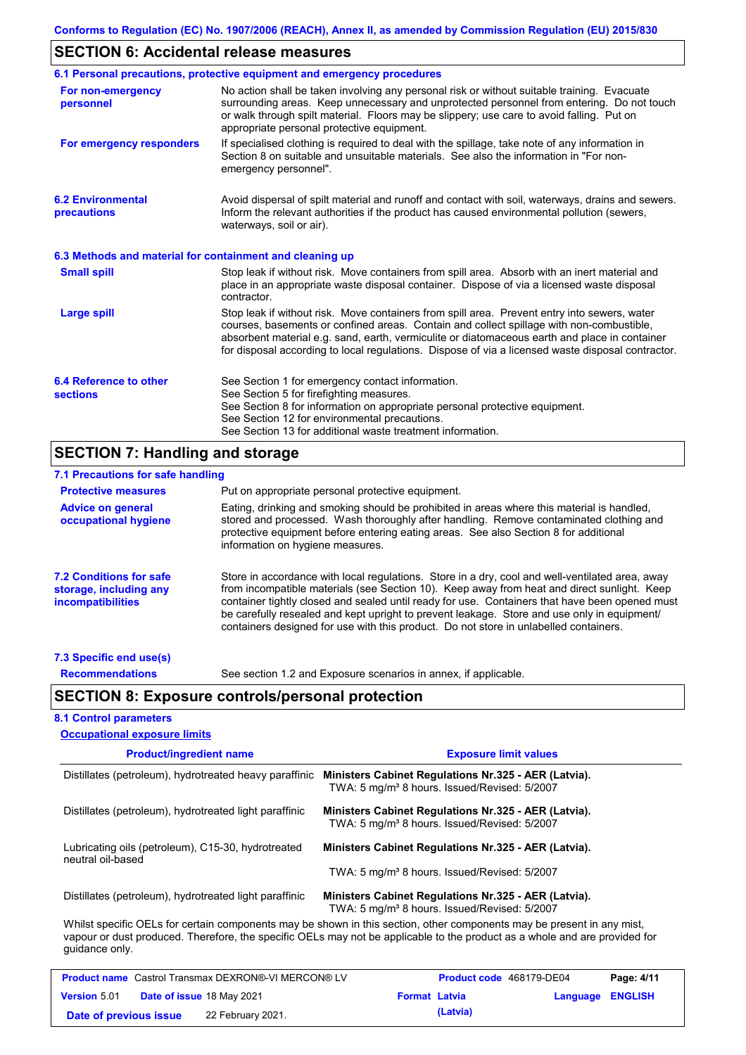## **SECTION 6: Accidental release measures**

|                                                          | 6.1 Personal precautions, protective equipment and emergency procedures                                                                                                                                                                                                                                                                                                                        |
|----------------------------------------------------------|------------------------------------------------------------------------------------------------------------------------------------------------------------------------------------------------------------------------------------------------------------------------------------------------------------------------------------------------------------------------------------------------|
| For non-emergency<br>personnel                           | No action shall be taken involving any personal risk or without suitable training. Evacuate<br>surrounding areas. Keep unnecessary and unprotected personnel from entering. Do not touch<br>or walk through spilt material. Floors may be slippery; use care to avoid falling. Put on<br>appropriate personal protective equipment.                                                            |
| For emergency responders                                 | If specialised clothing is required to deal with the spillage, take note of any information in<br>Section 8 on suitable and unsuitable materials. See also the information in "For non-<br>emergency personnel".                                                                                                                                                                               |
| <b>6.2 Environmental</b><br>precautions                  | Avoid dispersal of spilt material and runoff and contact with soil, waterways, drains and sewers.<br>Inform the relevant authorities if the product has caused environmental pollution (sewers,<br>waterways, soil or air).                                                                                                                                                                    |
| 6.3 Methods and material for containment and cleaning up |                                                                                                                                                                                                                                                                                                                                                                                                |
| <b>Small spill</b>                                       | Stop leak if without risk. Move containers from spill area. Absorb with an inert material and<br>place in an appropriate waste disposal container. Dispose of via a licensed waste disposal<br>contractor.                                                                                                                                                                                     |
| <b>Large spill</b>                                       | Stop leak if without risk. Move containers from spill area. Prevent entry into sewers, water<br>courses, basements or confined areas. Contain and collect spillage with non-combustible,<br>absorbent material e.g. sand, earth, vermiculite or diatomaceous earth and place in container<br>for disposal according to local regulations. Dispose of via a licensed waste disposal contractor. |
| 6.4 Reference to other<br><b>sections</b>                | See Section 1 for emergency contact information.<br>See Section 5 for firefighting measures.<br>See Section 8 for information on appropriate personal protective equipment.<br>See Section 12 for environmental precautions.<br>See Section 13 for additional waste treatment information.                                                                                                     |

# **SECTION 7: Handling and storage**

| 7.1 Precautions for safe handling                                                    |                                                                                                                                                                                                                                                                                                                                                                                                                                                                                          |
|--------------------------------------------------------------------------------------|------------------------------------------------------------------------------------------------------------------------------------------------------------------------------------------------------------------------------------------------------------------------------------------------------------------------------------------------------------------------------------------------------------------------------------------------------------------------------------------|
| <b>Protective measures</b>                                                           | Put on appropriate personal protective equipment.                                                                                                                                                                                                                                                                                                                                                                                                                                        |
| <b>Advice on general</b><br>occupational hygiene                                     | Eating, drinking and smoking should be prohibited in areas where this material is handled,<br>stored and processed. Wash thoroughly after handling. Remove contaminated clothing and<br>protective equipment before entering eating areas. See also Section 8 for additional<br>information on hygiene measures.                                                                                                                                                                         |
| <b>7.2 Conditions for safe</b><br>storage, including any<br><i>incompatibilities</i> | Store in accordance with local requiations. Store in a dry, cool and well-ventilated area, away<br>from incompatible materials (see Section 10). Keep away from heat and direct sunlight. Keep<br>container tightly closed and sealed until ready for use. Containers that have been opened must<br>be carefully resealed and kept upright to prevent leakage. Store and use only in equipment/<br>containers designed for use with this product. Do not store in unlabelled containers. |
| 7.3 Specific end use(s)                                                              |                                                                                                                                                                                                                                                                                                                                                                                                                                                                                          |

**Recommendations**

See section 1.2 and Exposure scenarios in annex, if applicable.

### **SECTION 8: Exposure controls/personal protection**

### **8.1 Control parameters**

| <b>Occupational exposure limits</b>                                     |                                                                                                                                                                                                                                                      |
|-------------------------------------------------------------------------|------------------------------------------------------------------------------------------------------------------------------------------------------------------------------------------------------------------------------------------------------|
| <b>Product/ingredient name</b>                                          | <b>Exposure limit values</b>                                                                                                                                                                                                                         |
| Distillates (petroleum), hydrotreated heavy paraffinic                  | Ministers Cabinet Regulations Nr.325 - AER (Latvia).<br>TWA: 5 mg/m <sup>3</sup> 8 hours. Issued/Revised: 5/2007                                                                                                                                     |
| Distillates (petroleum), hydrotreated light paraffinic                  | Ministers Cabinet Regulations Nr.325 - AER (Latvia).<br>TWA: 5 mg/m <sup>3</sup> 8 hours. Issued/Revised: 5/2007                                                                                                                                     |
| Lubricating oils (petroleum), C15-30, hydrotreated<br>neutral oil-based | Ministers Cabinet Regulations Nr.325 - AER (Latvia).                                                                                                                                                                                                 |
|                                                                         | TWA: 5 mg/m <sup>3</sup> 8 hours. Issued/Revised: 5/2007                                                                                                                                                                                             |
| Distillates (petroleum), hydrotreated light paraffinic                  | Ministers Cabinet Regulations Nr.325 - AER (Latvia).<br>TWA: 5 mg/m <sup>3</sup> 8 hours. Issued/Revised: 5/2007                                                                                                                                     |
| quidance only.                                                          | Whilst specific OELs for certain components may be shown in this section, other components may be present in any mist,<br>vapour or dust produced. Therefore, the specific OELs may not be applicable to the product as a whole and are provided for |

|                        | <b>Product name</b> Castrol Transmax DEXRON®-VI MERCON® LV |                      | <b>Product code</b> 468179-DE04 |                         | Page: 4/11 |
|------------------------|------------------------------------------------------------|----------------------|---------------------------------|-------------------------|------------|
| <b>Version 5.01</b>    | <b>Date of issue 18 May 2021</b>                           | <b>Format Latvia</b> |                                 | <b>Language ENGLISH</b> |            |
| Date of previous issue | 22 February 2021.                                          |                      | (Latvia)                        |                         |            |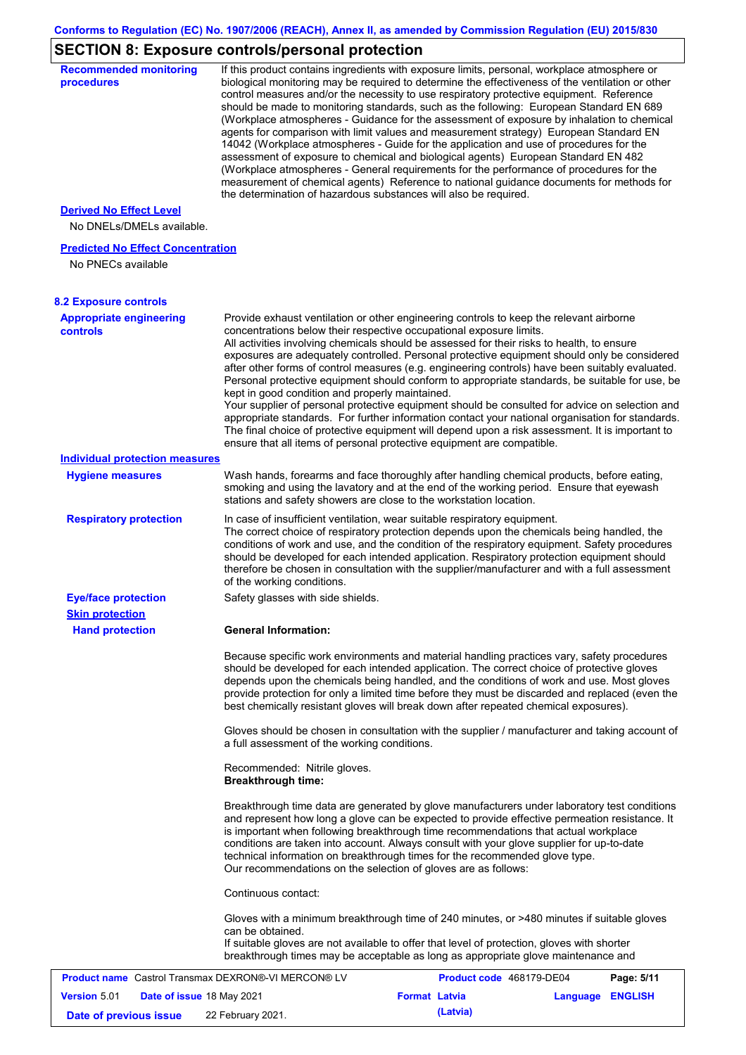# **SECTION 8: Exposure controls/personal protection**

| <b>Recommended monitoring</b><br>procedures                    | If this product contains ingredients with exposure limits, personal, workplace atmosphere or<br>biological monitoring may be required to determine the effectiveness of the ventilation or other<br>control measures and/or the necessity to use respiratory protective equipment. Reference<br>should be made to monitoring standards, such as the following: European Standard EN 689<br>(Workplace atmospheres - Guidance for the assessment of exposure by inhalation to chemical<br>agents for comparison with limit values and measurement strategy) European Standard EN<br>14042 (Workplace atmospheres - Guide for the application and use of procedures for the<br>assessment of exposure to chemical and biological agents) European Standard EN 482<br>(Workplace atmospheres - General requirements for the performance of procedures for the<br>measurement of chemical agents) Reference to national guidance documents for methods for<br>the determination of hazardous substances will also be required. |                                                                                                                                                                                                                                                                                                                                                                               |                                                                                                                                                                                                                                                                                                                                                                                                                                                                                                         |
|----------------------------------------------------------------|----------------------------------------------------------------------------------------------------------------------------------------------------------------------------------------------------------------------------------------------------------------------------------------------------------------------------------------------------------------------------------------------------------------------------------------------------------------------------------------------------------------------------------------------------------------------------------------------------------------------------------------------------------------------------------------------------------------------------------------------------------------------------------------------------------------------------------------------------------------------------------------------------------------------------------------------------------------------------------------------------------------------------|-------------------------------------------------------------------------------------------------------------------------------------------------------------------------------------------------------------------------------------------------------------------------------------------------------------------------------------------------------------------------------|---------------------------------------------------------------------------------------------------------------------------------------------------------------------------------------------------------------------------------------------------------------------------------------------------------------------------------------------------------------------------------------------------------------------------------------------------------------------------------------------------------|
| <b>Derived No Effect Level</b><br>No DNELs/DMELs available.    |                                                                                                                                                                                                                                                                                                                                                                                                                                                                                                                                                                                                                                                                                                                                                                                                                                                                                                                                                                                                                            |                                                                                                                                                                                                                                                                                                                                                                               |                                                                                                                                                                                                                                                                                                                                                                                                                                                                                                         |
| <b>Predicted No Effect Concentration</b><br>No PNECs available |                                                                                                                                                                                                                                                                                                                                                                                                                                                                                                                                                                                                                                                                                                                                                                                                                                                                                                                                                                                                                            |                                                                                                                                                                                                                                                                                                                                                                               |                                                                                                                                                                                                                                                                                                                                                                                                                                                                                                         |
| <b>8.2 Exposure controls</b>                                   |                                                                                                                                                                                                                                                                                                                                                                                                                                                                                                                                                                                                                                                                                                                                                                                                                                                                                                                                                                                                                            |                                                                                                                                                                                                                                                                                                                                                                               |                                                                                                                                                                                                                                                                                                                                                                                                                                                                                                         |
| <b>Appropriate engineering</b><br><b>controls</b>              | All activities involving chemicals should be assessed for their risks to health, to ensure<br>kept in good condition and properly maintained.                                                                                                                                                                                                                                                                                                                                                                                                                                                                                                                                                                                                                                                                                                                                                                                                                                                                              | Provide exhaust ventilation or other engineering controls to keep the relevant airborne<br>concentrations below their respective occupational exposure limits.<br>The final choice of protective equipment will depend upon a risk assessment. It is important to<br>ensure that all items of personal protective equipment are compatible.                                   | exposures are adequately controlled. Personal protective equipment should only be considered<br>after other forms of control measures (e.g. engineering controls) have been suitably evaluated.<br>Personal protective equipment should conform to appropriate standards, be suitable for use, be<br>Your supplier of personal protective equipment should be consulted for advice on selection and<br>appropriate standards. For further information contact your national organisation for standards. |
| <b>Individual protection measures</b>                          |                                                                                                                                                                                                                                                                                                                                                                                                                                                                                                                                                                                                                                                                                                                                                                                                                                                                                                                                                                                                                            |                                                                                                                                                                                                                                                                                                                                                                               |                                                                                                                                                                                                                                                                                                                                                                                                                                                                                                         |
| <b>Hygiene measures</b>                                        | Wash hands, forearms and face thoroughly after handling chemical products, before eating,                                                                                                                                                                                                                                                                                                                                                                                                                                                                                                                                                                                                                                                                                                                                                                                                                                                                                                                                  | smoking and using the lavatory and at the end of the working period. Ensure that eyewash<br>stations and safety showers are close to the workstation location.                                                                                                                                                                                                                |                                                                                                                                                                                                                                                                                                                                                                                                                                                                                                         |
| <b>Respiratory protection</b>                                  | therefore be chosen in consultation with the supplier/manufacturer and with a full assessment<br>of the working conditions.                                                                                                                                                                                                                                                                                                                                                                                                                                                                                                                                                                                                                                                                                                                                                                                                                                                                                                | In case of insufficient ventilation, wear suitable respiratory equipment.<br>The correct choice of respiratory protection depends upon the chemicals being handled, the<br>conditions of work and use, and the condition of the respiratory equipment. Safety procedures<br>should be developed for each intended application. Respiratory protection equipment should        |                                                                                                                                                                                                                                                                                                                                                                                                                                                                                                         |
| <b>Eye/face protection</b>                                     | Safety glasses with side shields.                                                                                                                                                                                                                                                                                                                                                                                                                                                                                                                                                                                                                                                                                                                                                                                                                                                                                                                                                                                          |                                                                                                                                                                                                                                                                                                                                                                               |                                                                                                                                                                                                                                                                                                                                                                                                                                                                                                         |
| <b>Skin protection</b>                                         |                                                                                                                                                                                                                                                                                                                                                                                                                                                                                                                                                                                                                                                                                                                                                                                                                                                                                                                                                                                                                            |                                                                                                                                                                                                                                                                                                                                                                               |                                                                                                                                                                                                                                                                                                                                                                                                                                                                                                         |
| <b>Hand protection</b>                                         | <b>General Information:</b>                                                                                                                                                                                                                                                                                                                                                                                                                                                                                                                                                                                                                                                                                                                                                                                                                                                                                                                                                                                                |                                                                                                                                                                                                                                                                                                                                                                               |                                                                                                                                                                                                                                                                                                                                                                                                                                                                                                         |
|                                                                |                                                                                                                                                                                                                                                                                                                                                                                                                                                                                                                                                                                                                                                                                                                                                                                                                                                                                                                                                                                                                            | Because specific work environments and material handling practices vary, safety procedures<br>should be developed for each intended application. The correct choice of protective gloves<br>depends upon the chemicals being handled, and the conditions of work and use. Most gloves<br>best chemically resistant gloves will break down after repeated chemical exposures). | provide protection for only a limited time before they must be discarded and replaced (even the<br>Gloves should be chosen in consultation with the supplier / manufacturer and taking account of                                                                                                                                                                                                                                                                                                       |
|                                                                | a full assessment of the working conditions.                                                                                                                                                                                                                                                                                                                                                                                                                                                                                                                                                                                                                                                                                                                                                                                                                                                                                                                                                                               |                                                                                                                                                                                                                                                                                                                                                                               |                                                                                                                                                                                                                                                                                                                                                                                                                                                                                                         |
|                                                                | Recommended: Nitrile gloves.<br><b>Breakthrough time:</b>                                                                                                                                                                                                                                                                                                                                                                                                                                                                                                                                                                                                                                                                                                                                                                                                                                                                                                                                                                  |                                                                                                                                                                                                                                                                                                                                                                               |                                                                                                                                                                                                                                                                                                                                                                                                                                                                                                         |
|                                                                | technical information on breakthrough times for the recommended glove type.                                                                                                                                                                                                                                                                                                                                                                                                                                                                                                                                                                                                                                                                                                                                                                                                                                                                                                                                                | and represent how long a glove can be expected to provide effective permeation resistance. It<br>is important when following breakthrough time recommendations that actual workplace<br>conditions are taken into account. Always consult with your glove supplier for up-to-date<br>Our recommendations on the selection of gloves are as follows:                           | Breakthrough time data are generated by glove manufacturers under laboratory test conditions                                                                                                                                                                                                                                                                                                                                                                                                            |
|                                                                | Continuous contact:                                                                                                                                                                                                                                                                                                                                                                                                                                                                                                                                                                                                                                                                                                                                                                                                                                                                                                                                                                                                        |                                                                                                                                                                                                                                                                                                                                                                               |                                                                                                                                                                                                                                                                                                                                                                                                                                                                                                         |
|                                                                | can be obtained.                                                                                                                                                                                                                                                                                                                                                                                                                                                                                                                                                                                                                                                                                                                                                                                                                                                                                                                                                                                                           | Gloves with a minimum breakthrough time of 240 minutes, or >480 minutes if suitable gloves<br>If suitable gloves are not available to offer that level of protection, gloves with shorter<br>breakthrough times may be acceptable as long as appropriate glove maintenance and                                                                                                |                                                                                                                                                                                                                                                                                                                                                                                                                                                                                                         |
| <b>Product name</b> Castrol Transmax DEXRON®-VI MERCON® LV     |                                                                                                                                                                                                                                                                                                                                                                                                                                                                                                                                                                                                                                                                                                                                                                                                                                                                                                                                                                                                                            | Product code 468179-DE04                                                                                                                                                                                                                                                                                                                                                      | Page: 5/11                                                                                                                                                                                                                                                                                                                                                                                                                                                                                              |
| Version 5.01<br>Date of issue 18 May 2021                      |                                                                                                                                                                                                                                                                                                                                                                                                                                                                                                                                                                                                                                                                                                                                                                                                                                                                                                                                                                                                                            | <b>Format Latvia</b>                                                                                                                                                                                                                                                                                                                                                          | Language ENGLISH                                                                                                                                                                                                                                                                                                                                                                                                                                                                                        |
| Date of previous issue                                         | 22 February 2021.                                                                                                                                                                                                                                                                                                                                                                                                                                                                                                                                                                                                                                                                                                                                                                                                                                                                                                                                                                                                          | (Latvia)                                                                                                                                                                                                                                                                                                                                                                      |                                                                                                                                                                                                                                                                                                                                                                                                                                                                                                         |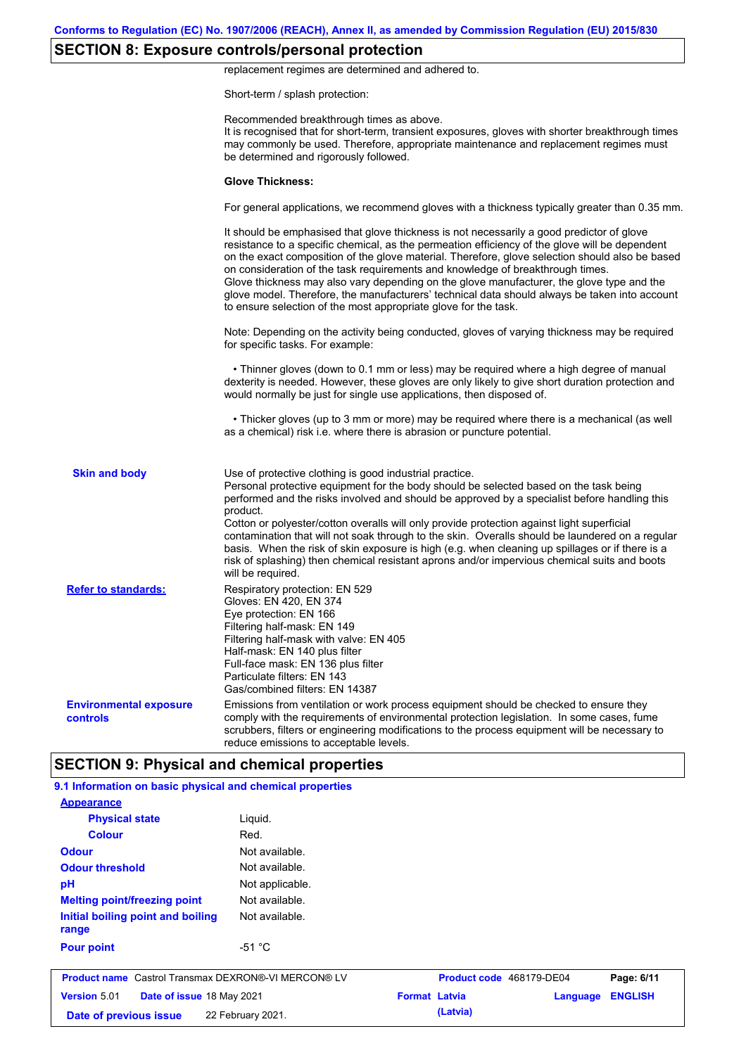# **SECTION 8: Exposure controls/personal protection**

replacement regimes are determined and adhered to.

Short-term / splash protection:

|                                           | Recommended breakthrough times as above.<br>It is recognised that for short-term, transient exposures, gloves with shorter breakthrough times<br>may commonly be used. Therefore, appropriate maintenance and replacement regimes must<br>be determined and rigorously followed.                                                                                                                                                                                                                                                                                                                                                                                                      |
|-------------------------------------------|---------------------------------------------------------------------------------------------------------------------------------------------------------------------------------------------------------------------------------------------------------------------------------------------------------------------------------------------------------------------------------------------------------------------------------------------------------------------------------------------------------------------------------------------------------------------------------------------------------------------------------------------------------------------------------------|
|                                           | <b>Glove Thickness:</b>                                                                                                                                                                                                                                                                                                                                                                                                                                                                                                                                                                                                                                                               |
|                                           | For general applications, we recommend gloves with a thickness typically greater than 0.35 mm.                                                                                                                                                                                                                                                                                                                                                                                                                                                                                                                                                                                        |
|                                           | It should be emphasised that glove thickness is not necessarily a good predictor of glove<br>resistance to a specific chemical, as the permeation efficiency of the glove will be dependent<br>on the exact composition of the glove material. Therefore, glove selection should also be based<br>on consideration of the task requirements and knowledge of breakthrough times.<br>Glove thickness may also vary depending on the glove manufacturer, the glove type and the<br>glove model. Therefore, the manufacturers' technical data should always be taken into account<br>to ensure selection of the most appropriate glove for the task.                                     |
|                                           | Note: Depending on the activity being conducted, gloves of varying thickness may be required<br>for specific tasks. For example:                                                                                                                                                                                                                                                                                                                                                                                                                                                                                                                                                      |
|                                           | • Thinner gloves (down to 0.1 mm or less) may be required where a high degree of manual<br>dexterity is needed. However, these gloves are only likely to give short duration protection and<br>would normally be just for single use applications, then disposed of.                                                                                                                                                                                                                                                                                                                                                                                                                  |
|                                           | • Thicker gloves (up to 3 mm or more) may be required where there is a mechanical (as well<br>as a chemical) risk i.e. where there is abrasion or puncture potential.                                                                                                                                                                                                                                                                                                                                                                                                                                                                                                                 |
| <b>Skin and body</b>                      | Use of protective clothing is good industrial practice.<br>Personal protective equipment for the body should be selected based on the task being<br>performed and the risks involved and should be approved by a specialist before handling this<br>product.<br>Cotton or polyester/cotton overalls will only provide protection against light superficial<br>contamination that will not soak through to the skin. Overalls should be laundered on a regular<br>basis. When the risk of skin exposure is high (e.g. when cleaning up spillages or if there is a<br>risk of splashing) then chemical resistant aprons and/or impervious chemical suits and boots<br>will be required. |
| <b>Refer to standards:</b>                | Respiratory protection: EN 529<br>Gloves: EN 420, EN 374<br>Eye protection: EN 166<br>Filtering half-mask: EN 149<br>Filtering half-mask with valve: EN 405<br>Half-mask: EN 140 plus filter<br>Full-face mask: EN 136 plus filter<br>Particulate filters: EN 143<br>Gas/combined filters: EN 14387                                                                                                                                                                                                                                                                                                                                                                                   |
| <b>Environmental exposure</b><br>controls | Emissions from ventilation or work process equipment should be checked to ensure they<br>comply with the requirements of environmental protection legislation. In some cases, fume<br>scrubbers, filters or engineering modifications to the process equipment will be necessary to<br>reduce emissions to acceptable levels.                                                                                                                                                                                                                                                                                                                                                         |
|                                           | <b>SECTION 9: Physical and chemical properties</b>                                                                                                                                                                                                                                                                                                                                                                                                                                                                                                                                                                                                                                    |

| <b>Appearance</b>                                          |                 |                      |                          |          |                |
|------------------------------------------------------------|-----------------|----------------------|--------------------------|----------|----------------|
| <b>Physical state</b>                                      | Liquid.         |                      |                          |          |                |
| <b>Colour</b>                                              | Red.            |                      |                          |          |                |
| <b>Odour</b>                                               | Not available.  |                      |                          |          |                |
| <b>Odour threshold</b>                                     | Not available.  |                      |                          |          |                |
| pH                                                         | Not applicable. |                      |                          |          |                |
| <b>Melting point/freezing point</b>                        | Not available.  |                      |                          |          |                |
| Initial boiling point and boiling<br>range                 | Not available.  |                      |                          |          |                |
| <b>Pour point</b>                                          | $-51 °C$        |                      |                          |          |                |
| <b>Product name</b> Castrol Transmax DEXRON®-VI MERCON® LV |                 |                      | Product code 468179-DE04 |          | Page: 6/11     |
| <b>Version 5.01</b><br>Date of issue 18 May 2021           |                 | <b>Format Latvia</b> |                          | Language | <b>ENGLISH</b> |
| 22 February 2021.<br>Date of previous issue                |                 |                      | (Latvia)                 |          |                |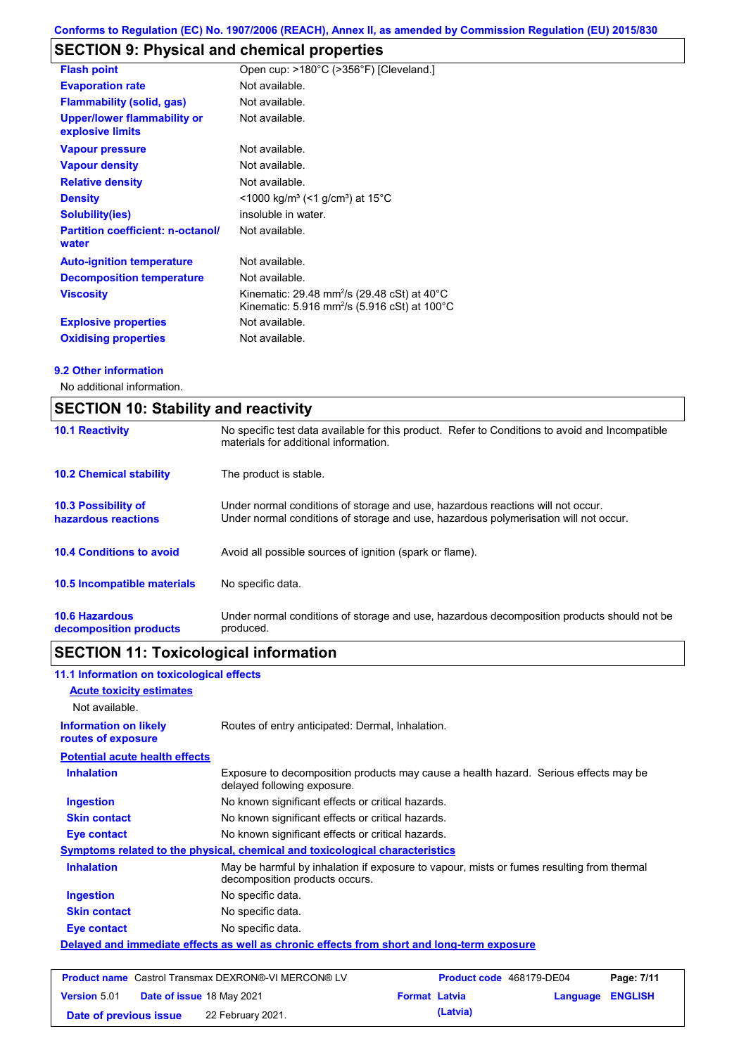# **SECTION 9: Physical and chemical properties**

| <b>Flash point</b>                                     | Open cup: >180°C (>356°F) [Cleveland.]                                                                                                    |
|--------------------------------------------------------|-------------------------------------------------------------------------------------------------------------------------------------------|
| <b>Evaporation rate</b>                                | Not available.                                                                                                                            |
| <b>Flammability (solid, gas)</b>                       | Not available.                                                                                                                            |
| <b>Upper/lower flammability or</b><br>explosive limits | Not available.                                                                                                                            |
| <b>Vapour pressure</b>                                 | Not available.                                                                                                                            |
| <b>Vapour density</b>                                  | Not available.                                                                                                                            |
| <b>Relative density</b>                                | Not available.                                                                                                                            |
| <b>Density</b>                                         | $<$ 1000 kg/m <sup>3</sup> (<1 g/cm <sup>3</sup> ) at 15 <sup>°</sup> C                                                                   |
| <b>Solubility(ies)</b>                                 | insoluble in water.                                                                                                                       |
| <b>Partition coefficient: n-octanol/</b><br>water      | Not available.                                                                                                                            |
| <b>Auto-ignition temperature</b>                       | Not available.                                                                                                                            |
| <b>Decomposition temperature</b>                       | Not available.                                                                                                                            |
| <b>Viscosity</b>                                       | Kinematic: 29.48 mm <sup>2</sup> /s (29.48 cSt) at 40 $^{\circ}$ C<br>Kinematic: 5.916 mm <sup>2</sup> /s (5.916 cSt) at 100 $^{\circ}$ C |
| <b>Explosive properties</b>                            | Not available.                                                                                                                            |
| <b>Oxidising properties</b>                            | Not available.                                                                                                                            |

### **9.2 Other information**

No additional information.

| <b>SECTION 10: Stability and reactivity</b>       |                                                                                                                                                                         |  |  |  |
|---------------------------------------------------|-------------------------------------------------------------------------------------------------------------------------------------------------------------------------|--|--|--|
| <b>10.1 Reactivity</b>                            | No specific test data available for this product. Refer to Conditions to avoid and Incompatible<br>materials for additional information.                                |  |  |  |
| <b>10.2 Chemical stability</b>                    | The product is stable.                                                                                                                                                  |  |  |  |
| <b>10.3 Possibility of</b><br>hazardous reactions | Under normal conditions of storage and use, hazardous reactions will not occur.<br>Under normal conditions of storage and use, hazardous polymerisation will not occur. |  |  |  |
| <b>10.4 Conditions to avoid</b>                   | Avoid all possible sources of ignition (spark or flame).                                                                                                                |  |  |  |
| 10.5 Incompatible materials                       | No specific data.                                                                                                                                                       |  |  |  |
| <b>10.6 Hazardous</b><br>decomposition products   | Under normal conditions of storage and use, hazardous decomposition products should not be<br>produced.                                                                 |  |  |  |

# **SECTION 11: Toxicological information**

| 11.1 Information on toxicological effects          |                                                                                                                             |
|----------------------------------------------------|-----------------------------------------------------------------------------------------------------------------------------|
| <b>Acute toxicity estimates</b>                    |                                                                                                                             |
| Not available.                                     |                                                                                                                             |
| <b>Information on likely</b><br>routes of exposure | Routes of entry anticipated: Dermal, Inhalation.                                                                            |
| <b>Potential acute health effects</b>              |                                                                                                                             |
| <b>Inhalation</b>                                  | Exposure to decomposition products may cause a health hazard. Serious effects may be<br>delayed following exposure.         |
| <b>Ingestion</b>                                   | No known significant effects or critical hazards.                                                                           |
| <b>Skin contact</b>                                | No known significant effects or critical hazards.                                                                           |
| Eye contact                                        | No known significant effects or critical hazards.                                                                           |
|                                                    | <b>Symptoms related to the physical, chemical and toxicological characteristics</b>                                         |
| <b>Inhalation</b>                                  | May be harmful by inhalation if exposure to vapour, mists or fumes resulting from thermal<br>decomposition products occurs. |
| <b>Ingestion</b>                                   | No specific data.                                                                                                           |
| <b>Skin contact</b>                                | No specific data.                                                                                                           |
| Eye contact                                        | No specific data.                                                                                                           |
|                                                    | Delayed and immediate effects as well as chronic effects from short and long-term exposure                                  |
|                                                    |                                                                                                                             |
|                                                    |                                                                                                                             |

|                        | <b>Product name</b> Castrol Transmax DEXRON®-VI MERCON® LV |                      | Product code 468179-DE04 |                  | Page: 7/11 |
|------------------------|------------------------------------------------------------|----------------------|--------------------------|------------------|------------|
| <b>Version 5.01</b>    | <b>Date of issue 18 May 2021</b>                           | <b>Format Latvia</b> |                          | Language ENGLISH |            |
| Date of previous issue | 22 February 2021.                                          |                      | (Latvia)                 |                  |            |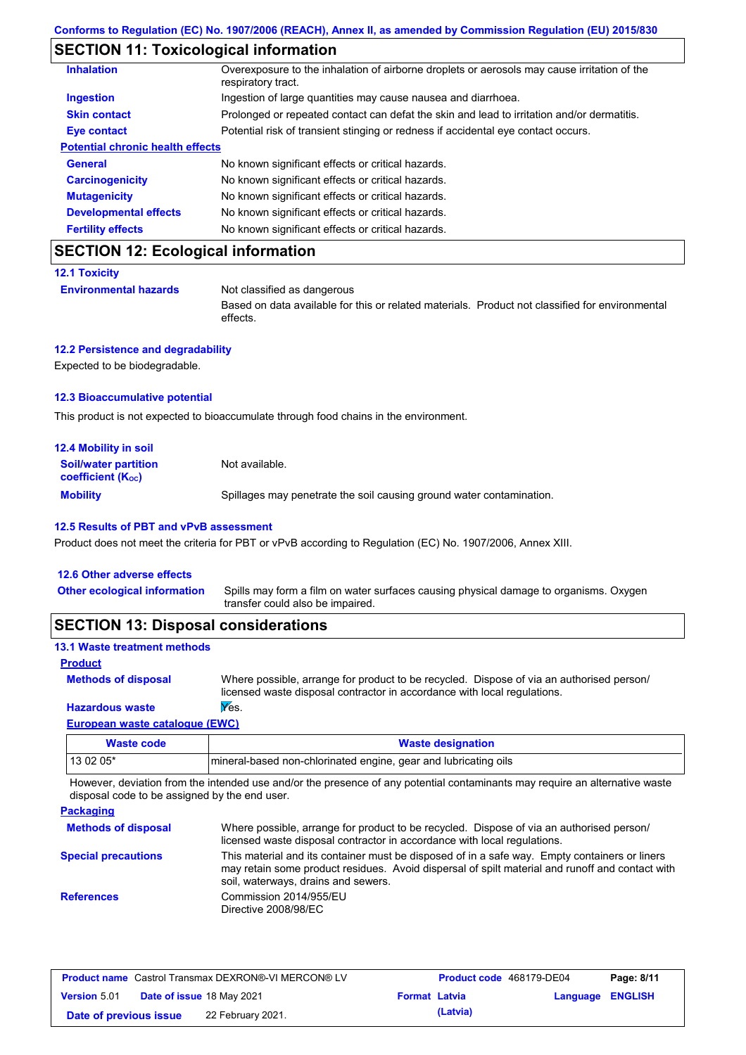# **SECTION 11: Toxicological information**

| <b>Inhalation</b>                       | Overexposure to the inhalation of airborne droplets or aerosols may cause irritation of the<br>respiratory tract. |
|-----------------------------------------|-------------------------------------------------------------------------------------------------------------------|
| <b>Ingestion</b>                        | Ingestion of large quantities may cause nausea and diarrhoea.                                                     |
| <b>Skin contact</b>                     | Prolonged or repeated contact can defat the skin and lead to irritation and/or dermatitis.                        |
| <b>Eye contact</b>                      | Potential risk of transient stinging or redness if accidental eye contact occurs.                                 |
| <b>Potential chronic health effects</b> |                                                                                                                   |
| <b>General</b>                          | No known significant effects or critical hazards.                                                                 |
| <b>Carcinogenicity</b>                  | No known significant effects or critical hazards.                                                                 |
| <b>Mutagenicity</b>                     | No known significant effects or critical hazards.                                                                 |
| <b>Developmental effects</b>            | No known significant effects or critical hazards.                                                                 |
| <b>Fertility effects</b>                | No known significant effects or critical hazards.                                                                 |

# **SECTION 12: Ecological information**

```
12.1 Toxicity
```
**Environmental hazards** Not classified as dangerous

Based on data available for this or related materials. Product not classified for environmental effects.

### **12.2 Persistence and degradability**

Expected to be biodegradable.

### **12.3 Bioaccumulative potential**

This product is not expected to bioaccumulate through food chains in the environment.

| <b>12.4 Mobility in soil</b>                                  |                                                                      |
|---------------------------------------------------------------|----------------------------------------------------------------------|
| <b>Soil/water partition</b><br>coefficient (K <sub>oc</sub> ) | Not available.                                                       |
| <b>Mobility</b>                                               | Spillages may penetrate the soil causing ground water contamination. |

#### **12.5 Results of PBT and vPvB assessment**

Product does not meet the criteria for PBT or vPvB according to Regulation (EC) No. 1907/2006, Annex XIII.

| Spills may form a film on water surfaces causing physical damage to organisms. Oxygen<br><b>Other ecological information</b><br>transfer could also be impaired. | 12.6 Other adverse effects |  |
|------------------------------------------------------------------------------------------------------------------------------------------------------------------|----------------------------|--|
|                                                                                                                                                                  |                            |  |

# **SECTION 13: Disposal considerations**

| <b>13.1 Waste treatment methods</b> |                                                                                                                                                                      |
|-------------------------------------|----------------------------------------------------------------------------------------------------------------------------------------------------------------------|
| <b>Product</b>                      |                                                                                                                                                                      |
| <b>Methods of disposal</b>          | Where possible, arrange for product to be recycled. Dispose of via an authorised person/<br>licensed waste disposal contractor in accordance with local regulations. |
| <b>Hazardous waste</b>              | Yes.                                                                                                                                                                 |
| Fourniers prests established (FINAN |                                                                                                                                                                      |

### **European waste catalogue (EWC)**

| Waste code | <b>Waste designation</b>                                        |
|------------|-----------------------------------------------------------------|
| 13 02 05*  | mineral-based non-chlorinated engine, gear and lubricating oils |

However, deviation from the intended use and/or the presence of any potential contaminants may require an alternative waste disposal code to be assigned by the end user.

| <b>Packaging</b>           |                                                                                                                                                                                                                                         |
|----------------------------|-----------------------------------------------------------------------------------------------------------------------------------------------------------------------------------------------------------------------------------------|
| <b>Methods of disposal</b> | Where possible, arrange for product to be recycled. Dispose of via an authorised person/<br>licensed waste disposal contractor in accordance with local regulations.                                                                    |
| <b>Special precautions</b> | This material and its container must be disposed of in a safe way. Empty containers or liners<br>may retain some product residues. Avoid dispersal of spilt material and runoff and contact with<br>soil, waterways, drains and sewers. |
| <b>References</b>          | Commission 2014/955/EU<br>Directive 2008/98/EC                                                                                                                                                                                          |

| <b>Product name</b> Castrol Transmax DEXRON®-VI MERCON® LV |  |                                  | <b>Product code</b> 468179-DE04 |          | Page: 8/11              |  |
|------------------------------------------------------------|--|----------------------------------|---------------------------------|----------|-------------------------|--|
| <b>Version 5.01</b>                                        |  | <b>Date of issue 18 May 2021</b> | <b>Format Latvia</b>            |          | <b>Language ENGLISH</b> |  |
| Date of previous issue                                     |  | 22 February 2021.                |                                 | (Latvia) |                         |  |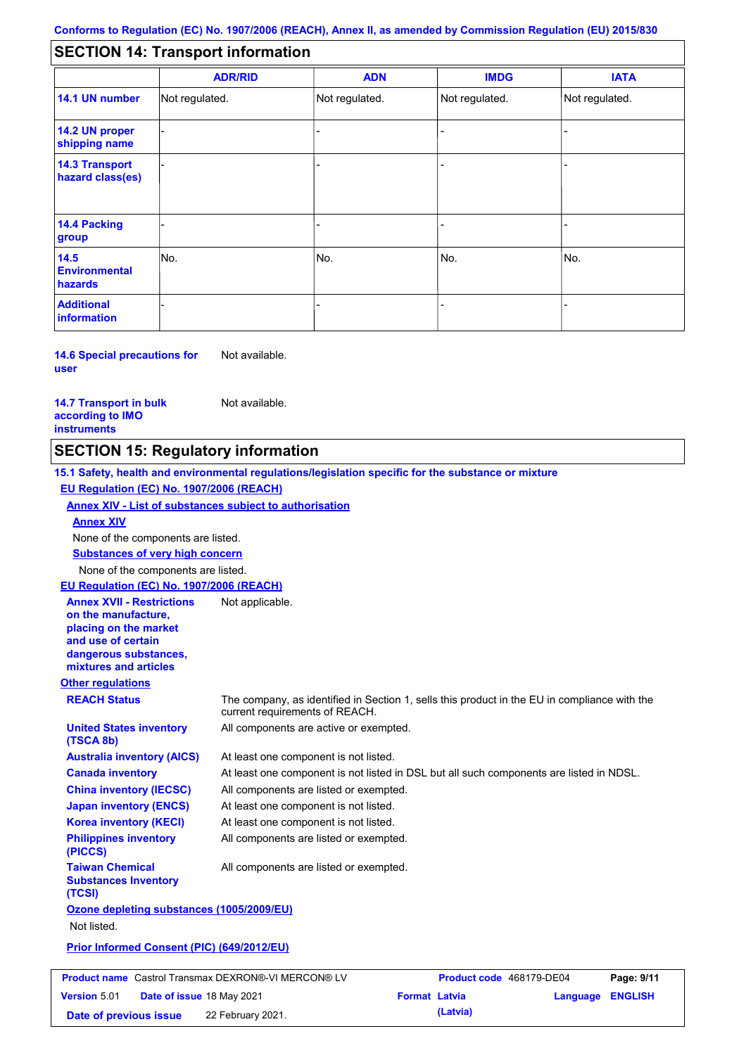#### - - - - - - - - - Not regulated. Not regulated. Not regulated. - - - **SECTION 14: Transport information ADR/RID IMDG IATA 14.1 UN number 14.2 UN proper shipping name 14.3 Transport hazard class(es) 14.4 Packing group ADN Additional information 14.5 Environmental hazards** No. 1988 | No. 1989 | No. 1989 | No. 1989 | No. 1989 | No. 1989 | No. 1989 | No. 1989 | No. 1989 | No. 1989 | Not regulated. - -<br>No. - -

**14.6 Special precautions for user** Not available.

**14.7 Transport in bulk according to IMO instruments**

Not available.

## **SECTION 15: Regulatory information**

**Other regulations REACH Status** The company, as identified in Section 1, sells this product in the EU in compliance with the current requirements of REACH. **15.1 Safety, health and environmental regulations/legislation specific for the substance or mixture EU Regulation (EC) No. 1907/2006 (REACH) Annex XIV - List of substances subject to authorisation Substances of very high concern** None of the components are listed. At least one component is not listed. At least one component is not listed in DSL but all such components are listed in NDSL. All components are listed or exempted. At least one component is not listed. All components are active or exempted. At least one component is not listed. All components are listed or exempted. **United States inventory (TSCA 8b) Australia inventory (AICS) Canada inventory China inventory (IECSC) Japan inventory (ENCS) Korea inventory (KECI) Philippines inventory (PICCS) Taiwan Chemical Substances Inventory (TCSI)** All components are listed or exempted. **Ozone depleting substances (1005/2009/EU)** Not listed. **Prior Informed Consent (PIC) (649/2012/EU)** None of the components are listed. **Annex XIV EU Regulation (EC) No. 1907/2006 (REACH) Annex XVII - Restrictions on the manufacture, placing on the market and use of certain dangerous substances, mixtures and articles** Not applicable. **Product name** Castrol Transmax DEXRON®-VI MERCON® LV **Product code** 468179-DE04 **Page: 9/11** |

**Version** 5.01 **Date of issue** 18 May 2021 **Format Latvia Language ENGLISH Date of previous issue (Latvia)** 22 February 2021.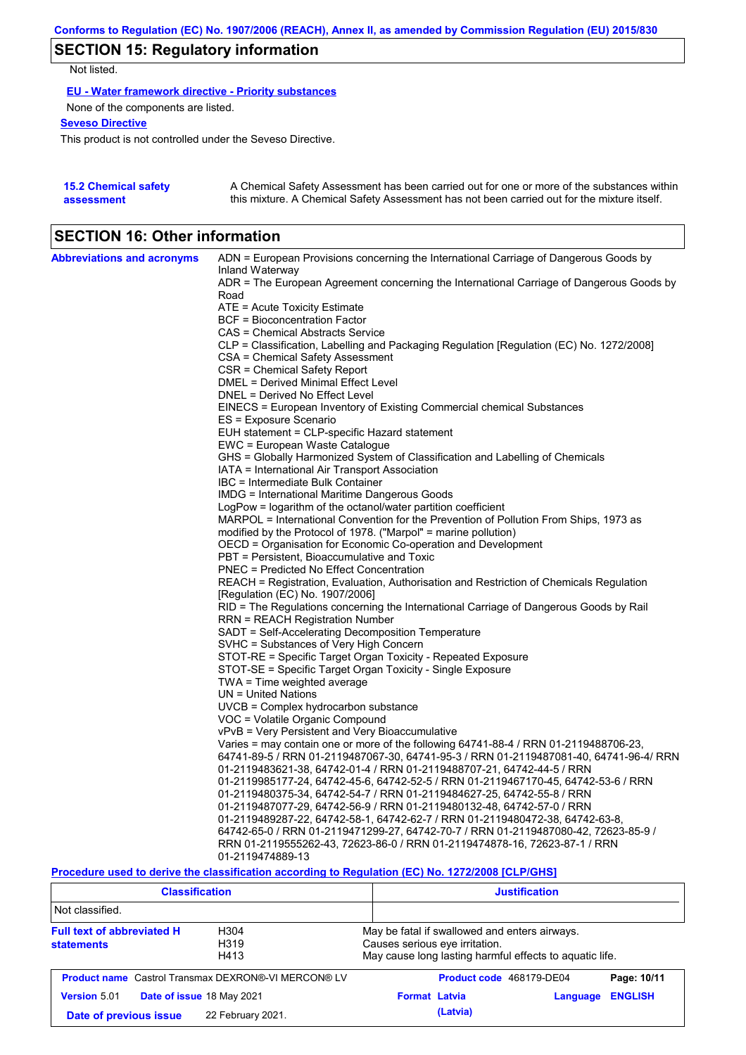# **SECTION 15: Regulatory information**

Not listed.

**EU - Water framework directive - Priority substances**

None of the components are listed.

**Seveso Directive**

This product is not controlled under the Seveso Directive.

| <b>15.2 Chemical safety</b> | A Chemical Safety Assessment has been carried out for one or more of the substances within  |
|-----------------------------|---------------------------------------------------------------------------------------------|
| assessment                  | this mixture. A Chemical Safety Assessment has not been carried out for the mixture itself. |

## **SECTION 16: Other information**

| <b>Abbreviations and acronyms</b> | ADN = European Provisions concerning the International Carriage of Dangerous Goods by               |
|-----------------------------------|-----------------------------------------------------------------------------------------------------|
|                                   | Inland Waterway                                                                                     |
|                                   | ADR = The European Agreement concerning the International Carriage of Dangerous Goods by<br>Road    |
|                                   | $ATE = Acute Toxicity Estimate$                                                                     |
|                                   | BCF = Bioconcentration Factor                                                                       |
|                                   | CAS = Chemical Abstracts Service                                                                    |
|                                   | CLP = Classification, Labelling and Packaging Regulation [Regulation (EC) No. 1272/2008]            |
|                                   | CSA = Chemical Safety Assessment                                                                    |
|                                   | CSR = Chemical Safety Report                                                                        |
|                                   | DMEL = Derived Minimal Effect Level                                                                 |
|                                   | DNEL = Derived No Effect Level                                                                      |
|                                   | EINECS = European Inventory of Existing Commercial chemical Substances                              |
|                                   | ES = Exposure Scenario                                                                              |
|                                   | EUH statement = CLP-specific Hazard statement                                                       |
|                                   | EWC = European Waste Catalogue                                                                      |
|                                   | GHS = Globally Harmonized System of Classification and Labelling of Chemicals                       |
|                                   | IATA = International Air Transport Association                                                      |
|                                   | IBC = Intermediate Bulk Container                                                                   |
|                                   | IMDG = International Maritime Dangerous Goods                                                       |
|                                   | LogPow = logarithm of the octanol/water partition coefficient                                       |
|                                   | MARPOL = International Convention for the Prevention of Pollution From Ships, 1973 as               |
|                                   | modified by the Protocol of 1978. ("Marpol" = marine pollution)                                     |
|                                   | OECD = Organisation for Economic Co-operation and Development                                       |
|                                   | PBT = Persistent, Bioaccumulative and Toxic                                                         |
|                                   | <b>PNEC = Predicted No Effect Concentration</b>                                                     |
|                                   | REACH = Registration, Evaluation, Authorisation and Restriction of Chemicals Regulation             |
|                                   | [Regulation (EC) No. 1907/2006]                                                                     |
|                                   | RID = The Regulations concerning the International Carriage of Dangerous Goods by Rail              |
|                                   | RRN = REACH Registration Number                                                                     |
|                                   | SADT = Self-Accelerating Decomposition Temperature                                                  |
|                                   | SVHC = Substances of Very High Concern                                                              |
|                                   | STOT-RE = Specific Target Organ Toxicity - Repeated Exposure                                        |
|                                   | STOT-SE = Specific Target Organ Toxicity - Single Exposure                                          |
|                                   | TWA = Time weighted average<br>$UN = United Nations$                                                |
|                                   | UVCB = Complex hydrocarbon substance                                                                |
|                                   | VOC = Volatile Organic Compound                                                                     |
|                                   | vPvB = Very Persistent and Very Bioaccumulative                                                     |
|                                   | Varies = may contain one or more of the following 64741-88-4 / RRN 01-2119488706-23,                |
|                                   | 64741-89-5 / RRN 01-2119487067-30, 64741-95-3 / RRN 01-2119487081-40, 64741-96-4/ RRN               |
|                                   | 01-2119483621-38, 64742-01-4 / RRN 01-2119488707-21, 64742-44-5 / RRN                               |
|                                   | 01-2119985177-24, 64742-45-6, 64742-52-5 / RRN 01-2119467170-45, 64742-53-6 / RRN                   |
|                                   | 01-2119480375-34, 64742-54-7 / RRN 01-2119484627-25, 64742-55-8 / RRN                               |
|                                   | 01-2119487077-29, 64742-56-9 / RRN 01-2119480132-48, 64742-57-0 / RRN                               |
|                                   | 01-2119489287-22, 64742-58-1, 64742-62-7 / RRN 01-2119480472-38, 64742-63-8,                        |
|                                   | 64742-65-0 / RRN 01-2119471299-27, 64742-70-7 / RRN 01-2119487080-42, 72623-85-9 /                  |
|                                   | RRN 01-2119555262-43, 72623-86-0 / RRN 01-2119474878-16, 72623-87-1 / RRN                           |
|                                   | 01-2119474889-13                                                                                    |
|                                   | Description used to device the classification essentian to Depulation (EO) No. 4979/9000 [O] DIOU01 |

**Procedure used to derive the classification according to Regulation (EC) No. 1272/2008 [CLP/GHS]**

| <b>Classification</b>                                                                                   |                                                            | <b>Justification</b>                                                                                                                       |                |  |  |
|---------------------------------------------------------------------------------------------------------|------------------------------------------------------------|--------------------------------------------------------------------------------------------------------------------------------------------|----------------|--|--|
| Not classified.                                                                                         |                                                            |                                                                                                                                            |                |  |  |
| <b>Full text of abbreviated H</b><br>H <sub>304</sub><br>H <sub>3</sub> 19<br><b>statements</b><br>H413 |                                                            | May be fatal if swallowed and enters airways.<br>Causes serious eye irritation.<br>May cause long lasting harmful effects to aquatic life. |                |  |  |
|                                                                                                         | <b>Product name</b> Castrol Transmax DEXRON®-VI MERCON® LV | Product code 468179-DE04                                                                                                                   | Page: 10/11    |  |  |
| <b>Version 5.01</b>                                                                                     | Date of issue 18 May 2021                                  | <b>Format Latvia</b><br>Language                                                                                                           | <b>ENGLISH</b> |  |  |
| Date of previous issue                                                                                  | 22 February 2021.                                          | (Latvia)                                                                                                                                   |                |  |  |